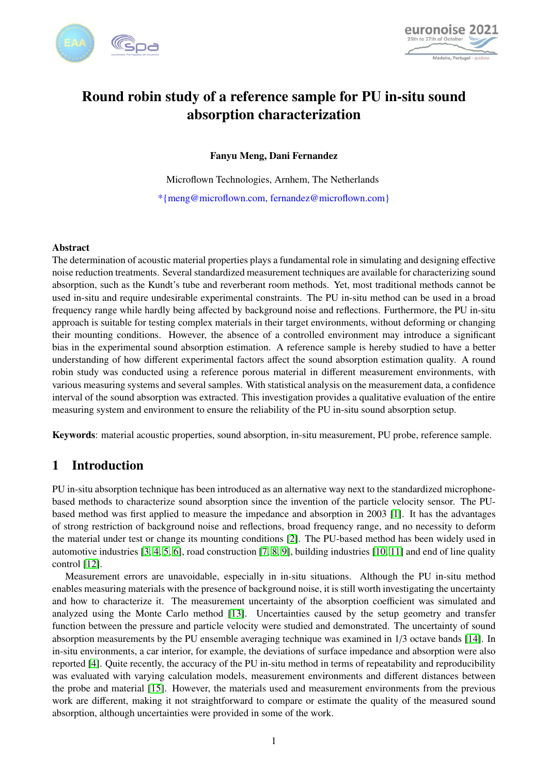



# Round robin study of a reference sample for PU in-situ sound absorption characterization

Fanyu Meng, Dani Fernandez

Microflown Technologies, Arnhem, The Netherlands \*{meng@microflown.com, fernandez@microflown.com}

#### Abstract

The determination of acoustic material properties plays a fundamental role in simulating and designing effective noise reduction treatments. Several standardized measurement techniques are available for characterizing sound absorption, such as the Kundt's tube and reverberant room methods. Yet, most traditional methods cannot be used in-situ and require undesirable experimental constraints. The PU in-situ method can be used in a broad frequency range while hardly being affected by background noise and reflections. Furthermore, the PU in-situ approach is suitable for testing complex materials in their target environments, without deforming or changing their mounting conditions. However, the absence of a controlled environment may introduce a significant bias in the experimental sound absorption estimation. A reference sample is hereby studied to have a better understanding of how different experimental factors affect the sound absorption estimation quality. A round robin study was conducted using a reference porous material in different measurement environments, with various measuring systems and several samples. With statistical analysis on the measurement data, a confidence interval of the sound absorption was extracted. This investigation provides a qualitative evaluation of the entire measuring system and environment to ensure the reliability of the PU in-situ sound absorption setup.

Keywords: material acoustic properties, sound absorption, in-situ measurement, PU probe, reference sample.

# 1 Introduction

PU in-situ absorption technique has been introduced as an alternative way next to the standardized microphonebased methods to characterize sound absorption since the invention of the particle velocity sensor. The PUbased method was first applied to measure the impedance and absorption in 2003 [\[1\]](#page-7-0). It has the advantages of strong restriction of background noise and reflections, broad frequency range, and no necessity to deform the material under test or change its mounting conditions [\[2\]](#page-7-1). The PU-based method has been widely used in automotive industries [\[3,](#page-7-2) [4,](#page-7-3) [5,](#page-7-4) [6\]](#page-7-5), road construction [\[7,](#page-7-6) [8,](#page-7-7) [9\]](#page-7-8), building industries [\[10,](#page-7-9) [11\]](#page-7-10) and end of line quality control [\[12\]](#page-7-11).

Measurement errors are unavoidable, especially in in-situ situations. Although the PU in-situ method enables measuring materials with the presence of background noise, it is still worth investigating the uncertainty and how to characterize it. The measurement uncertainty of the absorption coefficient was simulated and analyzed using the Monte Carlo method [\[13\]](#page-7-12). Uncertainties caused by the setup geometry and transfer function between the pressure and particle velocity were studied and demonstrated. The uncertainty of sound absorption measurements by the PU ensemble averaging technique was examined in 1/3 octave bands [\[14\]](#page-8-0). In in-situ environments, a car interior, for example, the deviations of surface impedance and absorption were also reported [\[4\]](#page-7-3). Quite recently, the accuracy of the PU in-situ method in terms of repeatability and reproducibility was evaluated with varying calculation models, measurement environments and different distances between the probe and material [\[15\]](#page-8-1). However, the materials used and measurement environments from the previous work are different, making it not straightforward to compare or estimate the quality of the measured sound absorption, although uncertainties were provided in some of the work.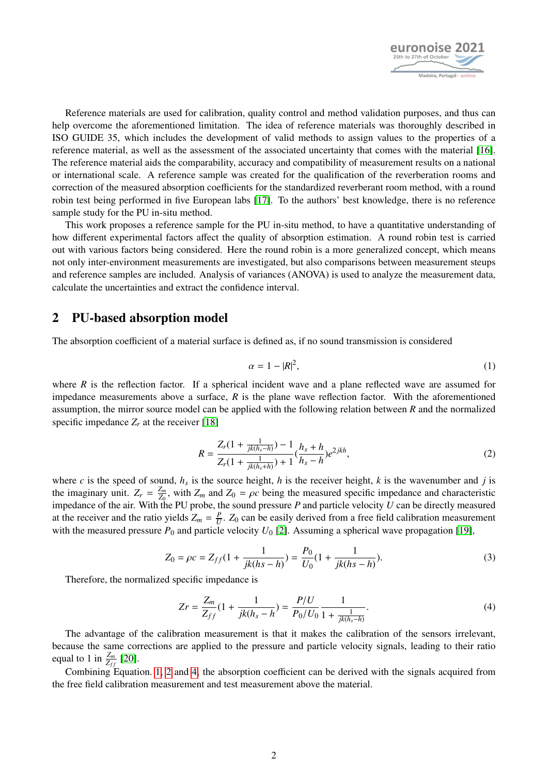

Reference materials are used for calibration, quality control and method validation purposes, and thus can help overcome the aforementioned limitation. The idea of reference materials was thoroughly described in ISO GUIDE 35, which includes the development of valid methods to assign values to the properties of a reference material, as well as the assessment of the associated uncertainty that comes with the material [\[16\]](#page-8-2). The reference material aids the comparability, accuracy and compatibility of measurement results on a national or international scale. A reference sample was created for the qualification of the reverberation rooms and correction of the measured absorption coefficients for the standardized reverberant room method, with a round robin test being performed in five European labs [\[17\]](#page-8-3). To the authors' best knowledge, there is no reference sample study for the PU in-situ method.

This work proposes a reference sample for the PU in-situ method, to have a quantitative understanding of how different experimental factors affect the quality of absorption estimation. A round robin test is carried out with various factors being considered. Here the round robin is a more generalized concept, which means not only inter-environment measurements are investigated, but also comparisons between measurement steups and reference samples are included. Analysis of variances (ANOVA) is used to analyze the measurement data, calculate the uncertainties and extract the confidence interval.

# <span id="page-1-3"></span>2 PU-based absorption model

<span id="page-1-0"></span>The absorption coefficient of a material surface is defined as, if no sound transmission is considered

$$
\alpha = 1 - |R|^2,\tag{1}
$$

<span id="page-1-1"></span>where *R* is the reflection factor. If a spherical incident wave and a plane reflected wave are assumed for impedance measurements above a surface, *R* is the plane wave reflection factor. With the aforementioned assumption, the mirror source model can be applied with the following relation between *R* and the normalized specific impedance  $Z_r$  at the receiver [\[18\]](#page-8-4)

$$
R = \frac{Z_r(1 + \frac{1}{jk(h_s - h)}) - 1}{Z_r(1 + \frac{1}{jk(h_s + h)}) + 1} (\frac{h_s + h}{h_s - h}) e^{2jkh},
$$
\n(2)

where *c* is the speed of sound,  $h_s$  is the source height, *h* is the receiver height, *k* is the wavenumber and *j* is the imaginary unit.  $Z_r = \frac{Z_m}{Z_0}$ the imaginary unit.  $Z_r = \frac{Z_m}{Z_0}$ , with  $Z_m$  and  $Z_0 = \rho c$  being the measured specific impedance and characteristic impedance of the air. With the PU probe, the sound pressure P and particle velocity U can be directly m at the receiver and the ratio yields  $Z_m = \frac{P}{U}$  $\frac{p}{U}$ . *Z*<sub>0</sub> can be easily derived from a free field calibration measurement with the measured pressure  $P_0$  and particle velocity  $U_0$  [\[2\]](#page-7-1). Assuming a spherical wave propagation [\[19\]](#page-8-5),

$$
Z_0 = \rho c = Z_{ff}(1 + \frac{1}{jk(hs - h)}) = \frac{P_0}{U_0}(1 + \frac{1}{jk(hs - h)}).
$$
 (3)

<span id="page-1-2"></span>Therefore, the normalized specific impedance is

$$
Zr = \frac{Z_m}{Z_{ff}}(1 + \frac{1}{jk(h_s - h)}) = \frac{P/U}{P_0/U_0} \frac{1}{1 + \frac{1}{jk(h_s - h)}}.
$$
\n(4)

The advantage of the calibration measurement is that it makes the calibration of the sensors irrelevant, because the same corrections are applied to the pressure and particle velocity signals, leading to their ratio equal to 1 in  $\frac{Z_m}{Z_{ff}}$  [\[20\]](#page-8-6).

<span id="page-1-4"></span>Combining Equation. [1,](#page-1-0) [2](#page-1-1) and [4,](#page-1-2) the absorption coefficient can be derived with the signals acquired from the free field calibration measurement and test measurement above the material.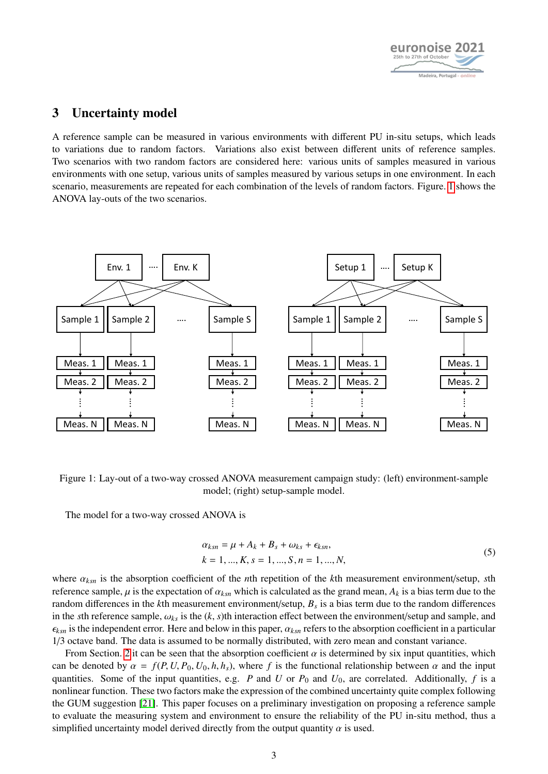

# 3 Uncertainty model

A reference sample can be measured in various environments with different PU in-situ setups, which leads to variations due to random factors. Variations also exist between different units of reference samples. Two scenarios with two random factors are considered here: various units of samples measured in various environments with one setup, various units of samples measured by various setups in one environment. In each scenario, measurements are repeated for each combination of the levels of random factors. Figure. [1](#page-2-0) shows the ANOVA lay-outs of the two scenarios.

<span id="page-2-0"></span>

Figure 1: Lay-out of a two-way crossed ANOVA measurement campaign study: (left) environment-sample model; (right) setup-sample model.

The model for a two-way crossed ANOVA is

$$
\alpha_{ksn} = \mu + A_k + B_s + \omega_{ks} + \epsilon_{ksn},
$$
  
\n
$$
k = 1, ..., K, s = 1, ..., S, n = 1, ..., N,
$$
\n(5)

where <sup>α</sup>*ksn* is the absorption coefficient of the *<sup>n</sup>*th repetition of the *<sup>k</sup>*th measurement environment/setup, *<sup>s</sup>*th reference sample,  $\mu$  is the expectation of  $\alpha_{ksn}$  which is calculated as the grand mean,  $A_k$  is a bias term due to the random differences in the *k*th measurement environment/setup, *B<sup>s</sup>* is a bias term due to the random differences in the *s*th reference sample,  $\omega_{ks}$  is the  $(k, s)$ th interaction effect between the environment/setup and sample, and  $\epsilon_{ksn}$  is the independent error. Here and below in this paper,  $\alpha_{ksn}$  refers to the absorption coefficient in a particular 1/3 octave band. The data is assumed to be normally distributed, with zero mean and constant variance.

From Section. [2](#page-1-3) it can be seen that the absorption coefficient  $\alpha$  is determined by six input quantities, which can be denoted by  $\alpha = f(P, U, P_0, U_0, h, h_s)$ , where f is the functional relationship between  $\alpha$  and the input quantities. Some of the input quantities, e.g. *P* and *U* or  $P_0$  and  $U_0$ , are correlated. Additionally,  $f$  is a nonlinear function. These two factors make the expression of the combined uncertainty quite complex following the GUM suggestion [\[21\]](#page-8-7). This paper focuses on a preliminary investigation on proposing a reference sample to evaluate the measuring system and environment to ensure the reliability of the PU in-situ method, thus a simplified uncertainty model derived directly from the output quantity  $\alpha$  is used.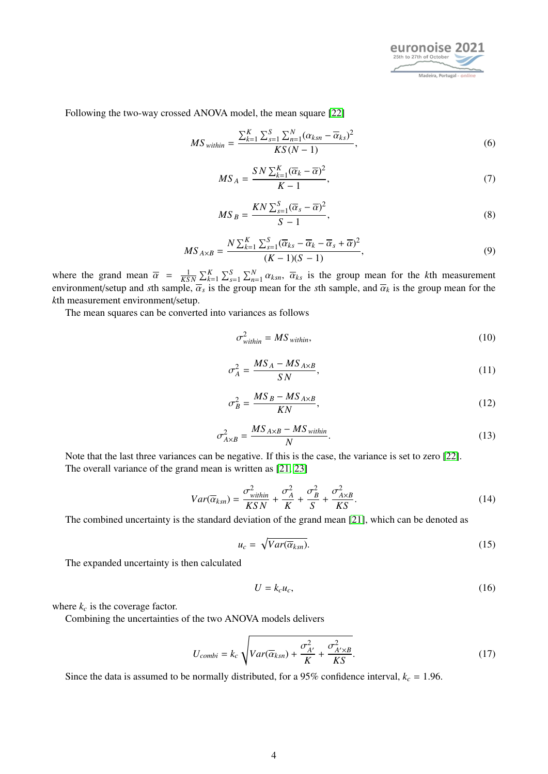

Following the two-way crossed ANOVA model, the mean square [\[22\]](#page-8-8)

$$
MS_{within} = \frac{\sum_{k=1}^{K} \sum_{s=1}^{S} \sum_{n=1}^{N} (\alpha_{ksn} - \overline{\alpha}_{ks})^2}{KS(N-1)},
$$
(6)

$$
MS_A = \frac{SN\sum_{k=1}^{K} (\overline{\alpha}_k - \overline{\alpha})^2}{K - 1},
$$
\n(7)

$$
MS_B = \frac{KN \sum_{s=1}^{S} (\overline{\alpha}_s - \overline{\alpha})^2}{S - 1},
$$
\n(8)

$$
MS_{A\times B} = \frac{N\sum_{k=1}^{K}\sum_{s=1}^{S}(\overline{\alpha}_{ks} - \overline{\alpha}_{k} - \overline{\alpha}_{s} + \overline{\alpha})^{2}}{(K-1)(S-1)},
$$
\n(9)

where the grand mean  $\bar{\alpha} = \frac{1}{KSN} \sum_{k=1}^{K} \sum_{s=1}^{S} \sum_{n=1}^{N} \alpha_{ksn}$ ,  $\bar{\alpha}_{ks}$  is the group mean for the *k*th measurement environment/setup and *s*th sample,  $\overline{\alpha}_s$  is the group mean for the *s*th sample, and  $\overline{\alpha}_k$  is the group mean for the *k*<sup>th</sup> measurement environment/setup. *k*th measurement environment/setup.

The mean squares can be converted into variances as follows

$$
\sigma_{within}^2 = MS_{within},\tag{10}
$$

$$
\sigma_A^2 = \frac{MS_A - MS_{A \times B}}{SN},\tag{11}
$$

$$
\sigma_B^2 = \frac{MS_B - MS_{A \times B}}{KN},\tag{12}
$$

$$
\sigma_{A\times B}^2 = \frac{MS_{A\times B} - MS_{within}}{N}.\tag{13}
$$

<span id="page-3-0"></span>Note that the last three variances can be negative. If this is the case, the variance is set to zero [\[22\]](#page-8-8). The overall variance of the grand mean is written as [\[21,](#page-8-7) [23\]](#page-8-9)

$$
Var(\overline{\alpha}_{ksn}) = \frac{\sigma_{within}^2}{KSN} + \frac{\sigma_A^2}{K} + \frac{\sigma_B^2}{S} + \frac{\sigma_{A \times B}^2}{KS}.
$$
\n(14)

The combined uncertainty is the standard deviation of the grand mean [\[21\]](#page-8-7), which can be denoted as

$$
u_c = \sqrt{Var(\overline{\alpha}_{ksn})}.
$$
 (15)

The expanded uncertainty is then calculated

$$
U = k_c u_c,\tag{16}
$$

where  $k_c$  is the coverage factor.

<span id="page-3-1"></span>Combining the uncertainties of the two ANOVA models delivers

$$
U_{combi} = k_c \sqrt{Var(\overline{\alpha}_{ksn}) + \frac{\sigma_{A'}^2}{K} + \frac{\sigma_{A'\times B}^2}{KS}}.
$$
 (17)

Since the data is assumed to be normally distributed, for a 95% confidence interval,  $k_c = 1.96$ .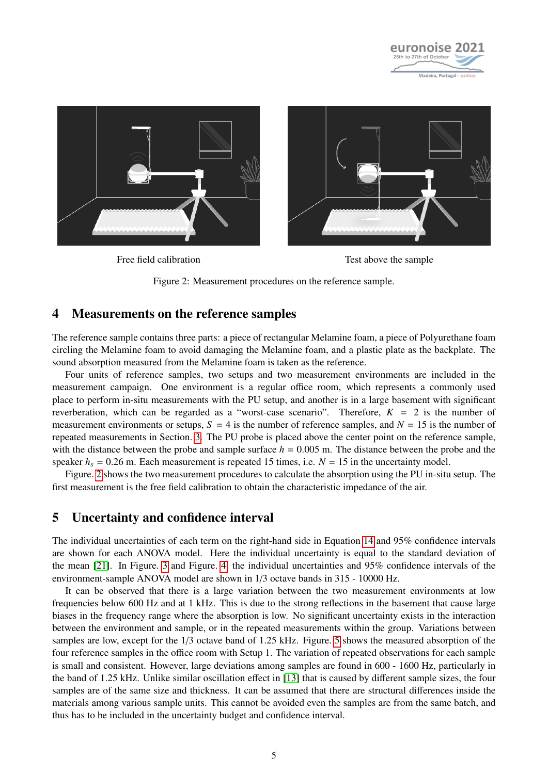

<span id="page-4-0"></span>

Free field calibration Test above the sample



#### 4 Measurements on the reference samples

The reference sample contains three parts: a piece of rectangular Melamine foam, a piece of Polyurethane foam circling the Melamine foam to avoid damaging the Melamine foam, and a plastic plate as the backplate. The sound absorption measured from the Melamine foam is taken as the reference.

Four units of reference samples, two setups and two measurement environments are included in the measurement campaign. One environment is a regular office room, which represents a commonly used place to perform in-situ measurements with the PU setup, and another is in a large basement with significant reverberation, which can be regarded as a "worst-case scenario". Therefore,  $K = 2$  is the number of measurement environments or setups,  $S = 4$  is the number of reference samples, and  $N = 15$  is the number of repeated measurements in Section. [3.](#page-1-4) The PU probe is placed above the center point on the reference sample, with the distance between the probe and sample surface  $h = 0.005$  m. The distance between the probe and the speaker  $h_s = 0.26$  m. Each measurement is repeated 15 times, i.e.  $N = 15$  in the uncertainty model.

Figure. [2](#page-4-0) shows the two measurement procedures to calculate the absorption using the PU in-situ setup. The first measurement is the free field calibration to obtain the characteristic impedance of the air.

### 5 Uncertainty and confidence interval

The individual uncertainties of each term on the right-hand side in Equation [14](#page-3-0) and 95% confidence intervals are shown for each ANOVA model. Here the individual uncertainty is equal to the standard deviation of the mean [\[21\]](#page-8-7). In Figure. [3](#page-5-0) and Figure. [4,](#page-5-0) the individual uncertainties and 95% confidence intervals of the environment-sample ANOVA model are shown in 1/3 octave bands in 315 - 10000 Hz.

It can be observed that there is a large variation between the two measurement environments at low frequencies below 600 Hz and at 1 kHz. This is due to the strong reflections in the basement that cause large biases in the frequency range where the absorption is low. No significant uncertainty exists in the interaction between the environment and sample, or in the repeated measurements within the group. Variations between samples are low, except for the 1/3 octave band of 1.25 kHz. Figure. [5](#page-5-1) shows the measured absorption of the four reference samples in the office room with Setup 1. The variation of repeated observations for each sample is small and consistent. However, large deviations among samples are found in 600 - 1600 Hz, particularly in the band of 1.25 kHz. Unlike similar oscillation effect in [\[13\]](#page-7-12) that is caused by different sample sizes, the four samples are of the same size and thickness. It can be assumed that there are structural differences inside the materials among various sample units. This cannot be avoided even the samples are from the same batch, and thus has to be included in the uncertainty budget and confidence interval.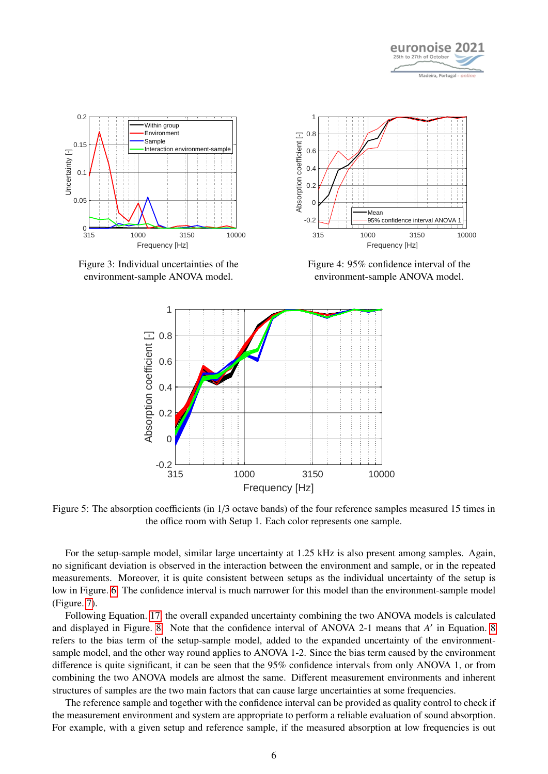

<span id="page-5-0"></span>

<span id="page-5-1"></span>Figure 3: Individual uncertainties of the environment-sample ANOVA model.



Figure 4: 95% confidence interval of the environment-sample ANOVA model.



Figure 5: The absorption coefficients (in 1/3 octave bands) of the four reference samples measured 15 times in the office room with Setup 1. Each color represents one sample.

For the setup-sample model, similar large uncertainty at 1.25 kHz is also present among samples. Again, no significant deviation is observed in the interaction between the environment and sample, or in the repeated measurements. Moreover, it is quite consistent between setups as the individual uncertainty of the setup is low in Figure. [6.](#page-6-0) The confidence interval is much narrower for this model than the environment-sample model (Figure. [7\)](#page-6-0).

Following Equation. [17,](#page-3-1) the overall expanded uncertainty combining the two ANOVA models is calculated and displayed in Figure. [8.](#page-6-1) Note that the confidence interval of ANOVA 2-1 means that *A'* in Equation. [8](#page-6-1) refers to the bias term of the setup-sample model, added to the expanded uncertainty of the environmentsample model, and the other way round applies to ANOVA 1-2. Since the bias term caused by the environment difference is quite significant, it can be seen that the 95% confidence intervals from only ANOVA 1, or from combining the two ANOVA models are almost the same. Different measurement environments and inherent structures of samples are the two main factors that can cause large uncertainties at some frequencies.

The reference sample and together with the confidence interval can be provided as quality control to check if the measurement environment and system are appropriate to perform a reliable evaluation of sound absorption. For example, with a given setup and reference sample, if the measured absorption at low frequencies is out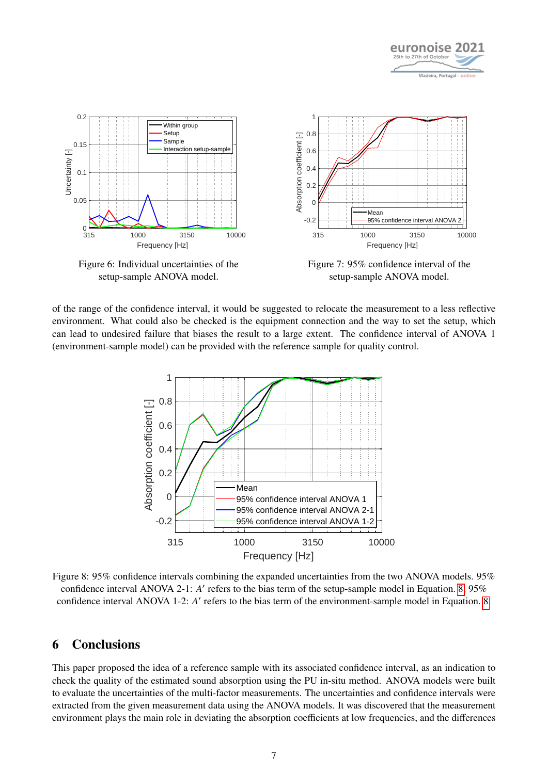

<span id="page-6-0"></span>

Figure 6: Individual uncertainties of the setup-sample ANOVA model.



<span id="page-6-1"></span>of the range of the confidence interval, it would be suggested to relocate the measurement to a less reflective environment. What could also be checked is the equipment connection and the way to set the setup, which can lead to undesired failure that biases the result to a large extent. The confidence interval of ANOVA 1 (environment-sample model) can be provided with the reference sample for quality control.



Figure 8: 95% confidence intervals combining the expanded uncertainties from the two ANOVA models. 95% confidence interval ANOVA 2-1: *A'* refers to the bias term of the setup-sample model in Equation. [8;](#page-6-1) 95% confidence interval ANOVA 1-2: *A'* refers to the bias term of the environment-sample model in Equation. [8.](#page-6-1)

# 6 Conclusions

This paper proposed the idea of a reference sample with its associated confidence interval, as an indication to check the quality of the estimated sound absorption using the PU in-situ method. ANOVA models were built to evaluate the uncertainties of the multi-factor measurements. The uncertainties and confidence intervals were extracted from the given measurement data using the ANOVA models. It was discovered that the measurement environment plays the main role in deviating the absorption coefficients at low frequencies, and the differences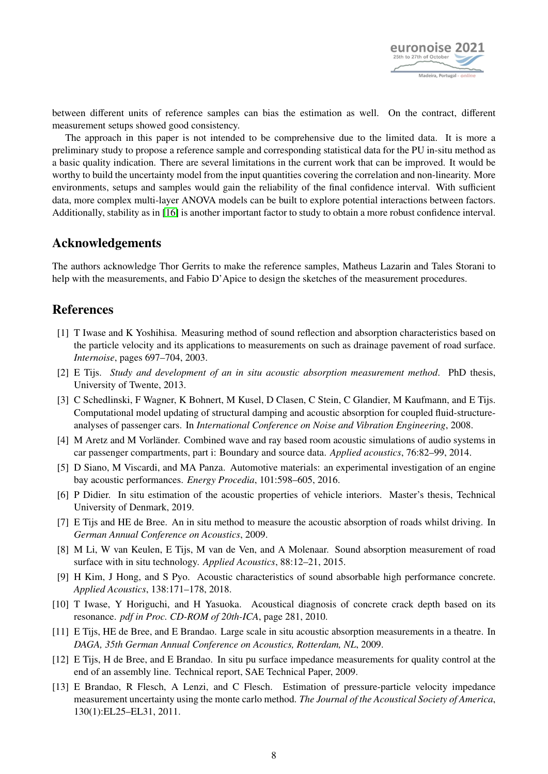

between different units of reference samples can bias the estimation as well. On the contract, different measurement setups showed good consistency.

The approach in this paper is not intended to be comprehensive due to the limited data. It is more a preliminary study to propose a reference sample and corresponding statistical data for the PU in-situ method as a basic quality indication. There are several limitations in the current work that can be improved. It would be worthy to build the uncertainty model from the input quantities covering the correlation and non-linearity. More environments, setups and samples would gain the reliability of the final confidence interval. With sufficient data, more complex multi-layer ANOVA models can be built to explore potential interactions between factors. Additionally, stability as in [\[16\]](#page-8-2) is another important factor to study to obtain a more robust confidence interval.

# Acknowledgements

The authors acknowledge Thor Gerrits to make the reference samples, Matheus Lazarin and Tales Storani to help with the measurements, and Fabio D'Apice to design the sketches of the measurement procedures.

# References

- <span id="page-7-0"></span>[1] T Iwase and K Yoshihisa. Measuring method of sound reflection and absorption characteristics based on the particle velocity and its applications to measurements on such as drainage pavement of road surface. *Internoise*, pages 697–704, 2003.
- <span id="page-7-1"></span>[2] E Tijs. *Study and development of an in situ acoustic absorption measurement method*. PhD thesis, University of Twente, 2013.
- <span id="page-7-2"></span>[3] C Schedlinski, F Wagner, K Bohnert, M Kusel, D Clasen, C Stein, C Glandier, M Kaufmann, and E Tijs. Computational model updating of structural damping and acoustic absorption for coupled fluid-structureanalyses of passenger cars. In *International Conference on Noise and Vibration Engineering*, 2008.
- <span id="page-7-3"></span>[4] M Aretz and M Vorländer. Combined wave and ray based room acoustic simulations of audio systems in car passenger compartments, part i: Boundary and source data. *Applied acoustics*, 76:82–99, 2014.
- <span id="page-7-4"></span>[5] D Siano, M Viscardi, and MA Panza. Automotive materials: an experimental investigation of an engine bay acoustic performances. *Energy Procedia*, 101:598–605, 2016.
- <span id="page-7-5"></span>[6] P Didier. In situ estimation of the acoustic properties of vehicle interiors. Master's thesis, Technical University of Denmark, 2019.
- <span id="page-7-6"></span>[7] E Tijs and HE de Bree. An in situ method to measure the acoustic absorption of roads whilst driving. In *German Annual Conference on Acoustics*, 2009.
- <span id="page-7-7"></span>[8] M Li, W van Keulen, E Tijs, M van de Ven, and A Molenaar. Sound absorption measurement of road surface with in situ technology. *Applied Acoustics*, 88:12–21, 2015.
- <span id="page-7-8"></span>[9] H Kim, J Hong, and S Pyo. Acoustic characteristics of sound absorbable high performance concrete. *Applied Acoustics*, 138:171–178, 2018.
- <span id="page-7-9"></span>[10] T Iwase, Y Horiguchi, and H Yasuoka. Acoustical diagnosis of concrete crack depth based on its resonance. *pdf in Proc. CD-ROM of 20th-ICA*, page 281, 2010.
- <span id="page-7-10"></span>[11] E Tijs, HE de Bree, and E Brandao. Large scale in situ acoustic absorption measurements in a theatre. In *DAGA, 35th German Annual Conference on Acoustics, Rotterdam, NL*, 2009.
- <span id="page-7-11"></span>[12] E Tijs, H de Bree, and E Brandao. In situ pu surface impedance measurements for quality control at the end of an assembly line. Technical report, SAE Technical Paper, 2009.
- <span id="page-7-12"></span>[13] E Brandao, R Flesch, A Lenzi, and C Flesch. Estimation of pressure-particle velocity impedance measurement uncertainty using the monte carlo method. *The Journal of the Acoustical Society of America*, 130(1):EL25–EL31, 2011.